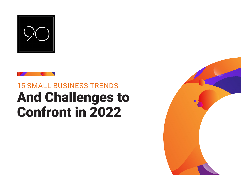



# And Challenges to Confront in 2022 15 SMALL BUSINESS TRENDS

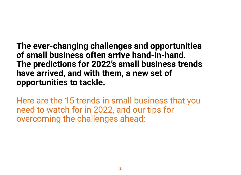**The ever-changing challenges and opportunities of small business often arrive hand-in-hand. The predictions for 2022's small business trends have arrived, and with them, a new set of opportunities to tackle.**

Here are the 15 trends in small business that you need to watch for in 2022, and our tips for overcoming the challenges ahead: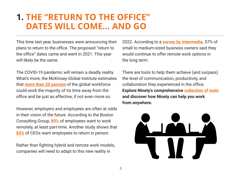### **1. THE "RETURN TO THE OFFICE" DATES WILL COME… AND GO**

This time last year, businesses were announcing their plans to return to the office. The proposed "return to the office" dates came and went in 2021. This year will likely be the same.

The COVID-19 pandemic will remain a deadly reality. What's more, the McKinsey Global Institute estimates that **[more than 20 percent](https://www.mckinsey.com/featured-insights/leadership/the-next-normal-arrives-trends-that-will-define-2021-and-beyond)** of the global workforce could work the majority of its time away from the office and be just as effective, if not even more so.

However, employers and employees are often at odds in their vision of the future. According to the Boston Consulting Group, **[89%](https://www.bcg.com/en-us/publications/2021/advantages-of-remote-work-flexibility)** of employees want to work remotely, at least part-time. Another study shows that **[83%](https://www.newsweek.com/2021/04/30/employees-balk-end-remote-work-going-back-office-stupid-1583059.html)** of CEOs want employees to return in person.

Rather than fighting hybrid and remote work models, companies will need to adapt to this new reality in

2022. According to a **[survey by Intermedia,](https://www.intermedia.net/blog/study-finds-half-smb-owners-believe-working-remotely-is-here-to-stay/)** 57% of small to medium-sized business owners said they would continue to offer remote work options in the long term.

There are tools to help them achieve (and surpass) the level of communication, productivity, and collaboration they experienced in the office. **Explore Ninety's comprehensive [collection of tools](https://www.ninety.io/features) and discover how Ninety can help you work from anywhere.**

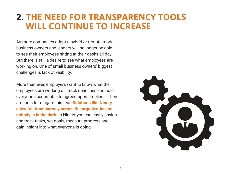# **2. THE NEED FOR TRANSPARENCY TOOLS WILL CONTINUE TO INCREASE**

As more companies adopt a hybrid or remote model, business owners and leaders will no longer be able to see their employees sitting at their desks all day. But there is still a desire to see what employees are working on. One of small business owners' biggest challenges is lack of visibility.

More than ever, employers want to know what their employees are working on, track deadlines and hold everyone accountable to agreed-upon timelines. There are tools to mitigate this fear. **Solutions like Ninety allow full transparency across the organization, so nobody is in the dark.** In Ninety, you can easily assign and track tasks, set goals, measure progress and gain insight into what everyone is doing.

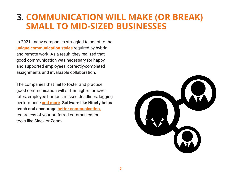## **3. COMMUNICATION WILL MAKE (OR BREAK) SMALL TO MID-SIZED BUSINESSES**

In 2021, many companies struggled to adapt to the **[unique communication styles](https://www.ninety.io/work-from-anywhere/how-to-communicate-with-remote-employees)** required by hybrid and remote work. As a result, they realized that good communication was necessary for happy and supported employees, correctly-completed assignments and invaluable collaboration.

The companies that fail to foster and practice good communication will suffer higher turnover rates, employee burnout, missed deadlines, lagging performance **[and more](https://fsd.servicemax.com/2017/11/08/6-business-impacts-poor-communication)**. **Software like Ninety helps teach and encourage [better communication,](https://www.ninety.io/blog/better-one-on-one-meetings-for-better-teams)** regardless of your preferred communication tools like Slack or Zoom.

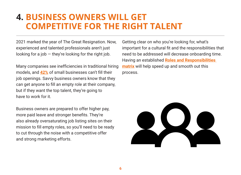## **4. BUSINESS OWNERS WILL GET COMPETITIVE FOR THE RIGHT TALENT**

2021 marked the year of The Great Resignation. Now, experienced and talented professionals aren't just looking for a job  $-$  they're looking for the right job.

Many companies see inefficiencies in traditional hiring models, and **[42%](https://www.cnbc.com/2021/05/06/small-businesses-struggle-to-find-workers-as-pandemic-eases.html)** of small businesses can't fill their job openings. Savvy business owners know that they can get anyone to fill an empty role at their company, but if they want the top talent, they're going to have to work for it.

Business owners are prepared to offer higher pay, more paid leave and stronger benefits. They're also already oversaturating job listing sites on their mission to fill empty roles, so you'll need to be ready to cut through the noise with a competitive offer and strong marketing efforts.

Getting clear on who you're looking for, what's important for a cultural fit and the responsibilities that need to be addressed will decrease onboarding time. Having an established **[Roles and Responsibilities](https://www.ninety.io/features#accountability-chart)  [matrix](https://www.ninety.io/features#accountability-chart)** will help speed up and smooth out this process.

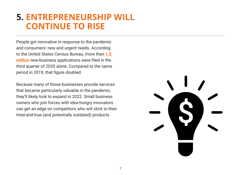# **5. ENTREPRENEURSHIP WILL CONTINUE TO RISE**

People got innovative in response to the pandemic and consumers' new and urgent needs. According to the United States Census Bureau, more than **[1.5](https://www.census.gov/econ/currentdata/dbsearch?program=MARTS&startYear=1992&endYear=2021&categories=44X72&dataType=SM&geoLevel=US&adjusted=1¬Adjusted=1&errorData=0)  [million](https://www.census.gov/econ/currentdata/dbsearch?program=MARTS&startYear=1992&endYear=2021&categories=44X72&dataType=SM&geoLevel=US&adjusted=1¬Adjusted=1&errorData=0)** new-business applications were filed in the third quarter of 2020 alone. Compared to the same period in 2019, that figure doubled.

Because many of those businesses provide services that became particularly valuable in the pandemic, they'll likely look to expand in 2022. Small business owners who join forces with idea-hungry innovators can get an edge on competitors who will stick to their tried-and-true (and potentially outdated) products.

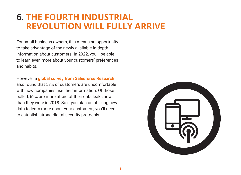# **6. THE FOURTH INDUSTRIAL REVOLUTION WILL FULLY ARRIVE**

For small business owners, this means an opportunity to take advantage of the newly available in-depth information about customers. In 2022, you'll be able to learn even more about your customers' preferences and habits.

However, a **[global survey from Salesforce Research](https://www.salesforce.com/blog/what-is-the-fourth-industrial-revolution-4ir/)** also found that 57% of customers are uncomfortable with how companies use their information. Of those polled, 62% are more afraid of their data leaks now than they were in 2018. So if you plan on utilizing new data to learn more about your customers, you'll need to establish strong digital security protocols.

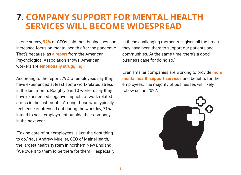#### **7. COMPANY SUPPORT FOR MENTAL HEALTH SERVICES WILL BECOME WIDESPREAD**

In one survey, **[92%](https://www.forbes.com/sites/jackkelly/2021/03/26/its-time-for-companies-to-focus-on-helping-employees-with-their-mental-health-and-well-being/?sh=10df8cbc44a1)** of CEOs said their businesses had increased focus on mental health after the pandemic. That's because, as **[a report](https://www.apa.org/pubs/reports/work-well-being/compounding-pressure-2021)** from the American Psychological Association shows, American workers are **[emotionally struggling](https://www.fastcompany.com/90695774/these-are-5-signs-that-your-company-puts-its-employees-over-profit)**.

According to the report, 79% of employees say they have experienced at least some work-related stress in the last month. Roughly 6 in 10 workers say they have experienced negative impacts of work-related stress in the last month. Among those who typically feel tense or stressed out during the workday, 71% intend to seek employment outside their company in the next year.

"Taking care of our employees is just the right thing to do," says Andrew Mueller, CEO of MaineHealth, the largest health system in northern New England. "We owe it to them to be there for them  $-$  especially in these challenging moments  $-$  given all the times they have been there to support our patients and communities. At the same time, there's a good business case for doing so."

Even smaller companies are working to provide **[more](https://www.unum.com/employers/hr-trends/guides-reports/mental-health-in-the-workplace)  [mental health support services](https://www.unum.com/employers/hr-trends/guides-reports/mental-health-in-the-workplace)** and benefits for their employees. The majority of businesses will likely follow suit in 2022.

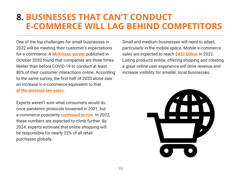# **8. BUSINESSES THAT CAN'T CONDUCT E-COMMERCE WILL LAG BEHIND COMPETITORS**

One of the top challenges for small businesses in 2022 will be meeting their customer's expectations for e-commerce. A **[McKinsey survey](https://www.mckinsey.com/business-functions/strategy-and-corporate-finance/our-insights/how-covid-19-has-pushed-companies-over-the-technology-tipping-point-and-transformed-business-forever)** published in October 2020 found that companies are three times likelier than before COVID-19 to conduct at least 80% of their customer interactions online. According to the same survey, the first half of 2020 alone saw an increase in e-commerce equivalent to that **[of the previous ten years.](https://www.mckinsey.com/business-functions/marketing-and-sales/our-insights/dtc-e-commerce-how-consumer-brands-can-get-it-right)**

Experts weren't sure what consumers would do once pandemic protocols loosened in 2021, but e-commerce popularity **[continued to rise](https://www.oberlo.com/statistics/how-many-people-shop-online)**. In 2022, these numbers are expected to climb further. By 2024, experts estimate that online shopping will be responsible for nearly 22% of all retail purchases globally.

Small and medium businesses will need to adapt, particularly in the mobile space. Mobile e-commerce sales are expected to reach **[\\$432 billion](https://www.roirevolution.com/blog/2021/06/coronavirus-and-ecommerce/)** in 2022. Listing products online, offering shipping and creating a great online user experience will drive revenue and increase visibility for smaller, local businesses.

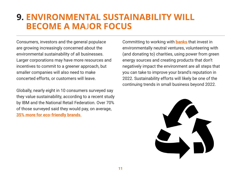## **9. ENVIRONMENTAL SUSTAINABILITY WILL BECOME A MA**J**OR FOCUS**

Consumers, investors and the general populace are growing increasingly concerned about the environmental sustainability of all businesses. Larger corporations may have more resources and incentives to commit to a greener approach, but smaller companies will also need to make concerted efforts, or customers will leave.

Globally, nearly eight in 10 consumers surveyed say they value sustainability, according to a recent study by IBM and the National Retail Federation. Over 70% of those surveyed said they would pay, on average, **[35% more for eco-friendly brands](https://www.barrons.com/articles/docusign-stock-price-news-51639188448)**.

Committing to working with **[banks](https://makechange.aspiration.com/most-ethical-banks/)** that invest in environmentally neutral ventures, volunteering with (and donating to) charities, using power from green energy sources and creating products that don't negatively impact the environment are all steps that you can take to improve your brand's reputation in 2022. Sustainability efforts will likely be one of the continuing trends in small business beyond 2022.

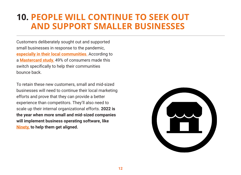# **10. PEOPLE WILL CONTINUE TO SEEK OUT AND SUPPORT SMALLER BUSINESSES**

Customers deliberately sought out and supported small businesses in response to the pandemic, **[especially in their local communities](https://www.paychex.com/articles/management/small-business-trends)**. According to a **[Mastercard study](https://www.mastercard.com/news/europe/en-uk/newsroom/press-releases/en-gb/2020/october/love-for-local/)**, 49% of consumers made this switch specifically to help their communities bounce back.

To retain these new customers, small and mid-sized businesses will need to continue their local marketing efforts and prove that they can provide a better experience than competitors. They'll also need to scale up their internal organizational efforts. **2022 is the year when more small and mid-sized companies will implement business operating software, like [Ninety,](https://www.ninety.io/) to help them get aligned.**

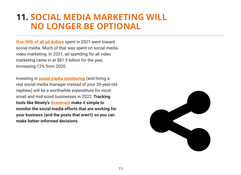# **11. SOCIAL MEDIA MARKETING WILL NO LONGER BE OPTIONAL**

**[One-fifth of all ad dollars](https://www.forbes.com/sites/bradadgate/2021/12/08/agencies-agree-2021-was-a-record-year-for-ad-spending-with-more-growth-expected-in-2022/?sh=7903118a7bc6)** spent in 2021 went toward social media. Much of that was spent on social media video marketing. In 2021, ad spending for all video marketing came in at \$81.9 billion for the year, increasing 12% from 2020.

Investing in **[social media monitoring](https://financesonline.com/top-20-social-media-monitoring-tools/)** (and hiring a real social media manager instead of your 20-year-old nephew) will be a worthwhile expenditure for most small and mid-sized businesses in 2022. **Tracking tools like Ninety's [Scorecard](https://www.ninety.io/features#scorecard) make it simple to monitor the social media efforts that are working for your business (and the posts that aren't) so you can make better-informed decisions.**

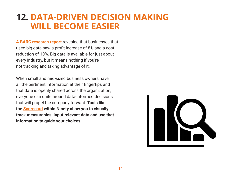# **12. DATA-DRIVEN DECISION MAKING WILL BECOME EASIER**

**[A BARC research report](https://www.tableau.com/learn/whitepapers/future-analytics-barc-research-report)** revealed that businesses that used big data saw a profit increase of 8% and a cost reduction of 10%. Big data is available for just about every industry, but it means nothing if you're not tracking and taking advantage of it.

When small and mid-sized business owners have all the pertinent information at their fingertips and that data is openly shared across the organization, everyone can unite around data-informed decisions that will propel the company forward. **Tools like the [Scorecard](https://www.ninety.io/resources#single/0) within Ninety allow you to visually track measurables, input relevant data and use that information to guide your choices.** 

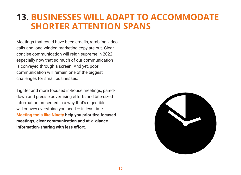# **13. BUSINESSES WILL ADAPT TO ACCOMMODATE SHORTER ATTENTION SPANS**

Meetings that could have been emails, rambling video calls and long-winded marketing copy are out. Clear, concise communication will reign supreme in 2022, especially now that so much of our communication is conveyed through a screen. And yet, poor communication will remain one of the biggest challenges for small businesses.

Tighter and more focused in-house meetings, pareddown and precise advertising efforts and bite-sized information presented in a way that's digestible will convey everything you need  $-$  in less time. **[Meeting tools like Ninety](https://www.ninety.io/features#meetings) help you prioritize focused meetings, clear communication and at-a-glance information-sharing with less effort.**

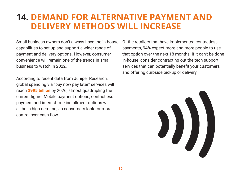# **14. DEMAND FOR ALTERNATIVE PAYMENT AND DELIVERY METHODS WILL INCREASE**

Small business owners don't always have the in-house capabilities to set up and support a wider range of payment and delivery options. However, consumer convenience will remain one of the trends in small business to watch in 2022.

According to recent data from Juniper Research, global spending via "buy now pay later" services will reach **[\\$995 billion](https://www.euronews.com/next/2021/12/06/how-will-you-buy-goods-in-2022-payment-trends-shaping-the-future-of-commerce)** by 2026, almost quadrupling the current figure. Mobile payment options, contactless payment and interest-free installment options will all be in high demand, as consumers look for more control over cash flow.

Of the retailers that have implemented contactless payments, 94% expect more and more people to use that option over the next 18 months. If it can't be done in-house, consider contracting out the tech support services that can potentially benefit your customers and offering curbside pickup or delivery.

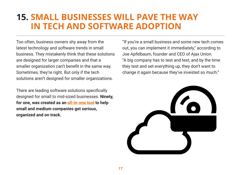# **15. SMALL BUSINESSES WILL PAVE THE WAY IN TECH AND SOFTWARE ADOPTION**

Too often, business owners shy away from the latest technology and software trends in small business. They mistakenly think that these solutions are designed for larger companies and that a smaller organization can't benefit in the same way. Sometimes, they're right. But only if the tech solutions aren't designed for smaller organizations.

There are leading software solutions specifically designed for small to mid-sized businesses. **Ninety, for one, was created as an [all-in-one tool](https://www.ninety.io/about) to help small and medium companies get serious, organized and on track.** 

"If you're a small business and some new tech comes out, you can implement it immediately," according to Joe Apfelbaum, founder and CEO of Ajax Union. "A big company has to test and test, and by the time they test and set everything up, they don't want to change it again because they've invested so much."